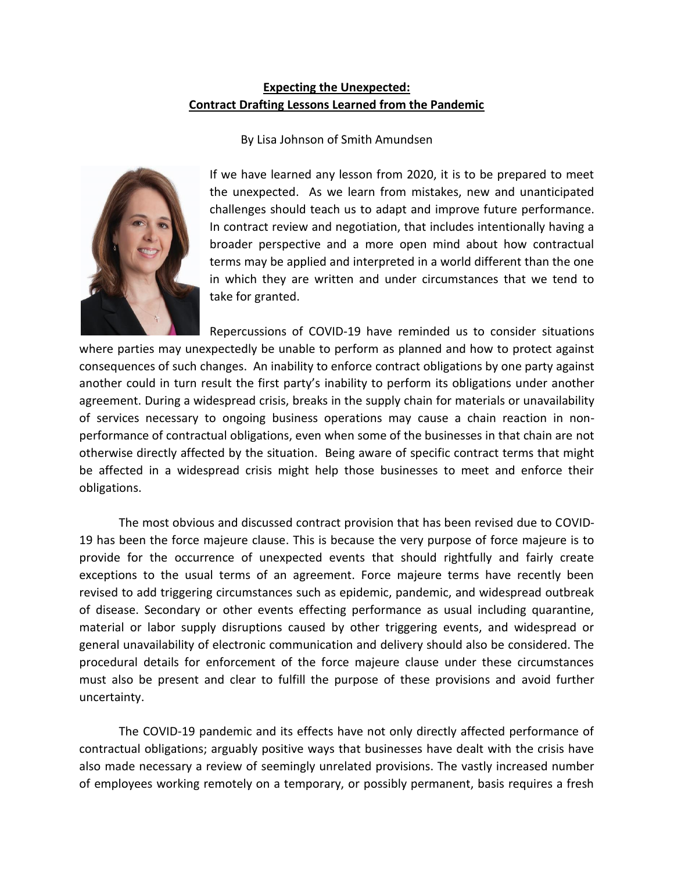## **Expecting the Unexpected: Contract Drafting Lessons Learned from the Pandemic**

By Lisa Johnson of Smith Amundsen

If we have learned any lesson from 2020, it is to be prepared to meet the unexpected. As we learn from mistakes, new and unanticipated challenges should teach us to adapt and improve future performance. In contract review and negotiation, that includes intentionally having a broader perspective and a more open mind about how contractual terms may be applied and interpreted in a world different than the one in which they are written and under circumstances that we tend to take for granted.

Repercussions of COVID-19 have reminded us to consider situations where parties may unexpectedly be unable to perform as planned and how to protect against consequences of such changes. An inability to enforce contract obligations by one party against another could in turn result the first party's inability to perform its obligations under another agreement. During a widespread crisis, breaks in the supply chain for materials or unavailability of services necessary to ongoing business operations may cause a chain reaction in nonperformance of contractual obligations, even when some of the businesses in that chain are not otherwise directly affected by the situation. Being aware of specific contract terms that might be affected in a widespread crisis might help those businesses to meet and enforce their obligations.

The most obvious and discussed contract provision that has been revised due to COVID-19 has been the force majeure clause. This is because the very purpose of force majeure is to provide for the occurrence of unexpected events that should rightfully and fairly create exceptions to the usual terms of an agreement. Force majeure terms have recently been revised to add triggering circumstances such as epidemic, pandemic, and widespread outbreak of disease. Secondary or other events effecting performance as usual including quarantine, material or labor supply disruptions caused by other triggering events, and widespread or general unavailability of electronic communication and delivery should also be considered. The procedural details for enforcement of the force majeure clause under these circumstances must also be present and clear to fulfill the purpose of these provisions and avoid further uncertainty.

The COVID-19 pandemic and its effects have not only directly affected performance of contractual obligations; arguably positive ways that businesses have dealt with the crisis have also made necessary a review of seemingly unrelated provisions. The vastly increased number of employees working remotely on a temporary, or possibly permanent, basis requires a fresh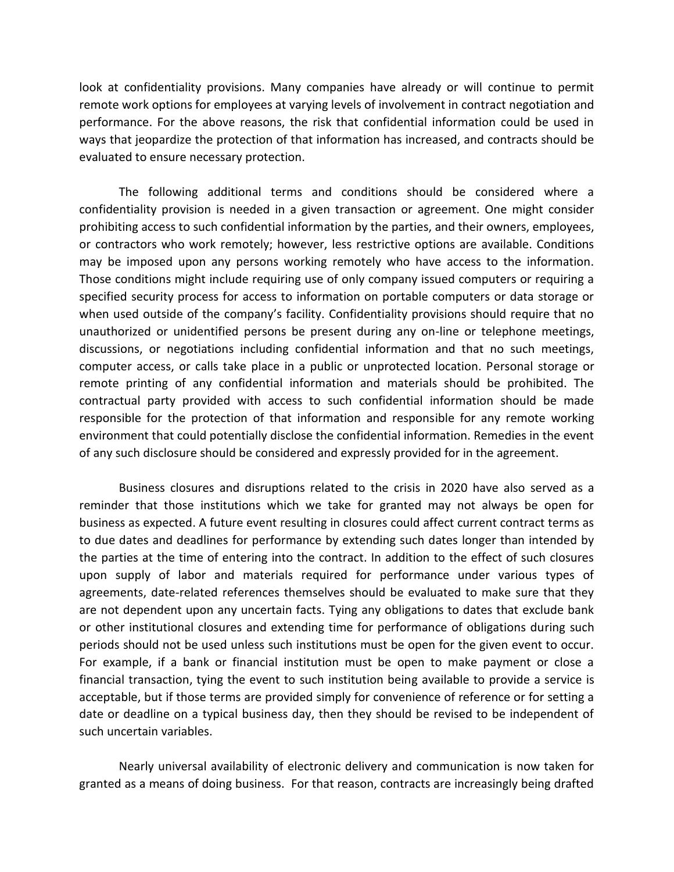look at confidentiality provisions. Many companies have already or will continue to permit remote work options for employees at varying levels of involvement in contract negotiation and performance. For the above reasons, the risk that confidential information could be used in ways that jeopardize the protection of that information has increased, and contracts should be evaluated to ensure necessary protection.

The following additional terms and conditions should be considered where a confidentiality provision is needed in a given transaction or agreement. One might consider prohibiting access to such confidential information by the parties, and their owners, employees, or contractors who work remotely; however, less restrictive options are available. Conditions may be imposed upon any persons working remotely who have access to the information. Those conditions might include requiring use of only company issued computers or requiring a specified security process for access to information on portable computers or data storage or when used outside of the company's facility. Confidentiality provisions should require that no unauthorized or unidentified persons be present during any on-line or telephone meetings, discussions, or negotiations including confidential information and that no such meetings, computer access, or calls take place in a public or unprotected location. Personal storage or remote printing of any confidential information and materials should be prohibited. The contractual party provided with access to such confidential information should be made responsible for the protection of that information and responsible for any remote working environment that could potentially disclose the confidential information. Remedies in the event of any such disclosure should be considered and expressly provided for in the agreement.

Business closures and disruptions related to the crisis in 2020 have also served as a reminder that those institutions which we take for granted may not always be open for business as expected. A future event resulting in closures could affect current contract terms as to due dates and deadlines for performance by extending such dates longer than intended by the parties at the time of entering into the contract. In addition to the effect of such closures upon supply of labor and materials required for performance under various types of agreements, date-related references themselves should be evaluated to make sure that they are not dependent upon any uncertain facts. Tying any obligations to dates that exclude bank or other institutional closures and extending time for performance of obligations during such periods should not be used unless such institutions must be open for the given event to occur. For example, if a bank or financial institution must be open to make payment or close a financial transaction, tying the event to such institution being available to provide a service is acceptable, but if those terms are provided simply for convenience of reference or for setting a date or deadline on a typical business day, then they should be revised to be independent of such uncertain variables.

Nearly universal availability of electronic delivery and communication is now taken for granted as a means of doing business. For that reason, contracts are increasingly being drafted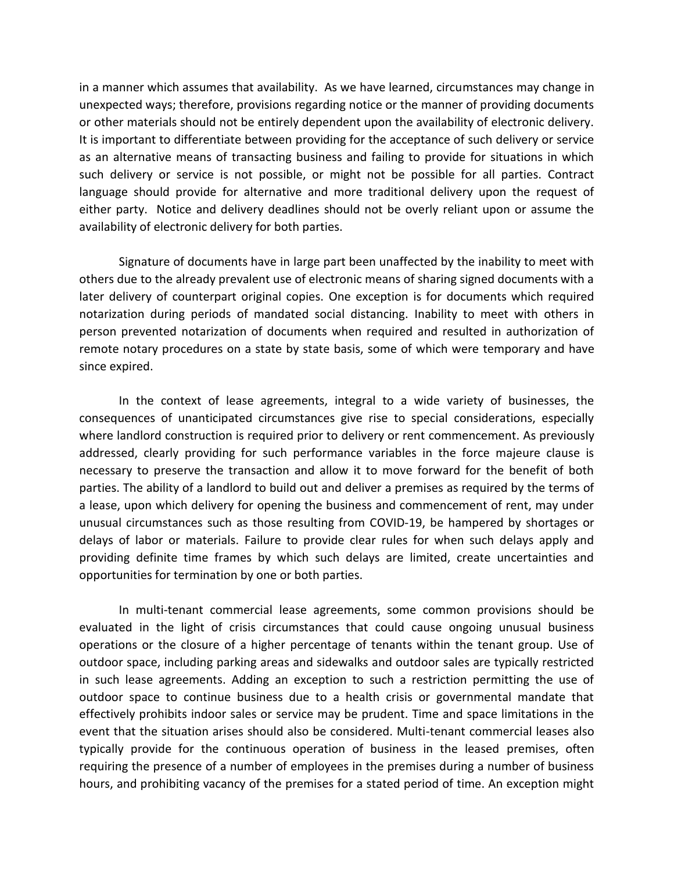in a manner which assumes that availability. As we have learned, circumstances may change in unexpected ways; therefore, provisions regarding notice or the manner of providing documents or other materials should not be entirely dependent upon the availability of electronic delivery. It is important to differentiate between providing for the acceptance of such delivery or service as an alternative means of transacting business and failing to provide for situations in which such delivery or service is not possible, or might not be possible for all parties. Contract language should provide for alternative and more traditional delivery upon the request of either party. Notice and delivery deadlines should not be overly reliant upon or assume the availability of electronic delivery for both parties.

Signature of documents have in large part been unaffected by the inability to meet with others due to the already prevalent use of electronic means of sharing signed documents with a later delivery of counterpart original copies. One exception is for documents which required notarization during periods of mandated social distancing. Inability to meet with others in person prevented notarization of documents when required and resulted in authorization of remote notary procedures on a state by state basis, some of which were temporary and have since expired.

In the context of lease agreements, integral to a wide variety of businesses, the consequences of unanticipated circumstances give rise to special considerations, especially where landlord construction is required prior to delivery or rent commencement. As previously addressed, clearly providing for such performance variables in the force majeure clause is necessary to preserve the transaction and allow it to move forward for the benefit of both parties. The ability of a landlord to build out and deliver a premises as required by the terms of a lease, upon which delivery for opening the business and commencement of rent, may under unusual circumstances such as those resulting from COVID-19, be hampered by shortages or delays of labor or materials. Failure to provide clear rules for when such delays apply and providing definite time frames by which such delays are limited, create uncertainties and opportunities for termination by one or both parties.

In multi-tenant commercial lease agreements, some common provisions should be evaluated in the light of crisis circumstances that could cause ongoing unusual business operations or the closure of a higher percentage of tenants within the tenant group. Use of outdoor space, including parking areas and sidewalks and outdoor sales are typically restricted in such lease agreements. Adding an exception to such a restriction permitting the use of outdoor space to continue business due to a health crisis or governmental mandate that effectively prohibits indoor sales or service may be prudent. Time and space limitations in the event that the situation arises should also be considered. Multi-tenant commercial leases also typically provide for the continuous operation of business in the leased premises, often requiring the presence of a number of employees in the premises during a number of business hours, and prohibiting vacancy of the premises for a stated period of time. An exception might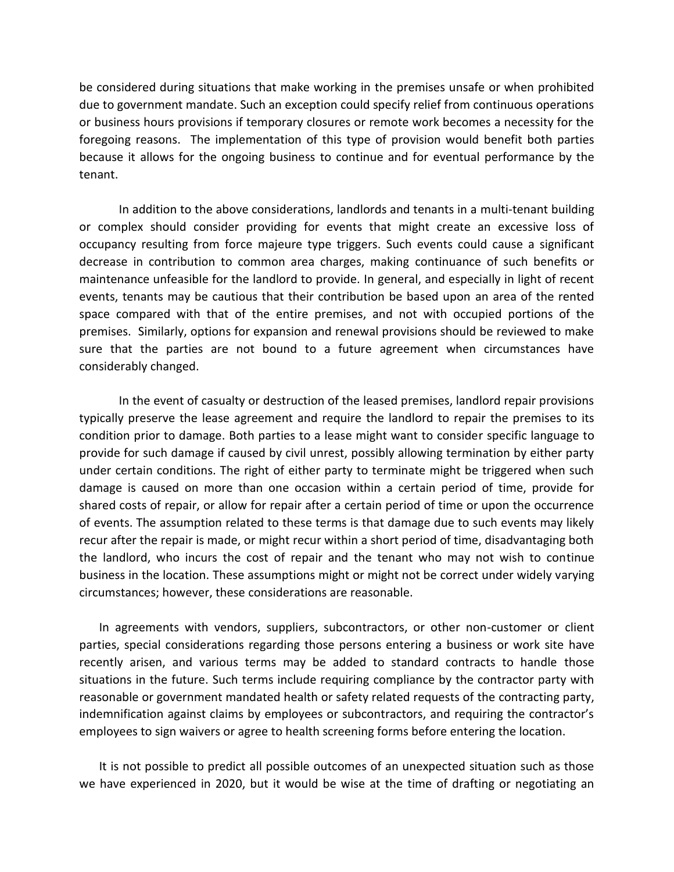be considered during situations that make working in the premises unsafe or when prohibited due to government mandate. Such an exception could specify relief from continuous operations or business hours provisions if temporary closures or remote work becomes a necessity for the foregoing reasons. The implementation of this type of provision would benefit both parties because it allows for the ongoing business to continue and for eventual performance by the tenant.

In addition to the above considerations, landlords and tenants in a multi-tenant building or complex should consider providing for events that might create an excessive loss of occupancy resulting from force majeure type triggers. Such events could cause a significant decrease in contribution to common area charges, making continuance of such benefits or maintenance unfeasible for the landlord to provide. In general, and especially in light of recent events, tenants may be cautious that their contribution be based upon an area of the rented space compared with that of the entire premises, and not with occupied portions of the premises. Similarly, options for expansion and renewal provisions should be reviewed to make sure that the parties are not bound to a future agreement when circumstances have considerably changed.

In the event of casualty or destruction of the leased premises, landlord repair provisions typically preserve the lease agreement and require the landlord to repair the premises to its condition prior to damage. Both parties to a lease might want to consider specific language to provide for such damage if caused by civil unrest, possibly allowing termination by either party under certain conditions. The right of either party to terminate might be triggered when such damage is caused on more than one occasion within a certain period of time, provide for shared costs of repair, or allow for repair after a certain period of time or upon the occurrence of events. The assumption related to these terms is that damage due to such events may likely recur after the repair is made, or might recur within a short period of time, disadvantaging both the landlord, who incurs the cost of repair and the tenant who may not wish to continue business in the location. These assumptions might or might not be correct under widely varying circumstances; however, these considerations are reasonable.

In agreements with vendors, suppliers, subcontractors, or other non-customer or client parties, special considerations regarding those persons entering a business or work site have recently arisen, and various terms may be added to standard contracts to handle those situations in the future. Such terms include requiring compliance by the contractor party with reasonable or government mandated health or safety related requests of the contracting party, indemnification against claims by employees or subcontractors, and requiring the contractor's employees to sign waivers or agree to health screening forms before entering the location.

It is not possible to predict all possible outcomes of an unexpected situation such as those we have experienced in 2020, but it would be wise at the time of drafting or negotiating an